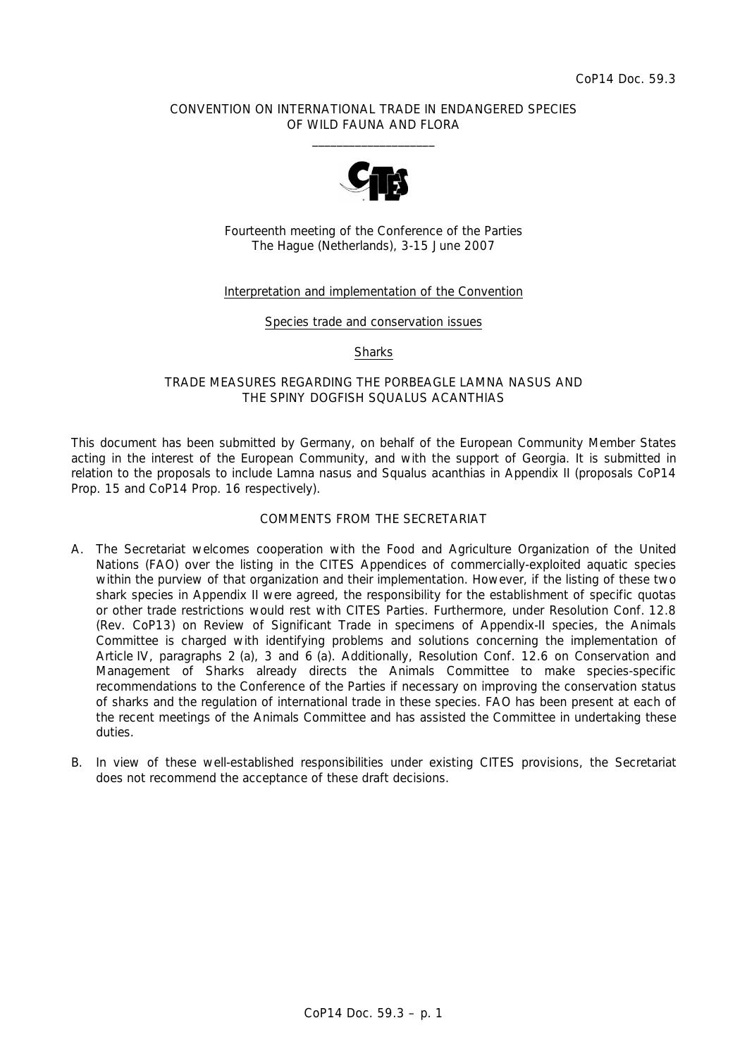### CONVENTION ON INTERNATIONAL TRADE IN ENDANGERED SPECIES OF WILD FAUNA AND FLORA  $\frac{1}{2}$  , and the set of the set of the set of the set of the set of the set of the set of the set of the set of the set of the set of the set of the set of the set of the set of the set of the set of the set of the set



Fourteenth meeting of the Conference of the Parties The Hague (Netherlands), 3-15 June 2007

## Interpretation and implementation of the Convention

#### Species trade and conservation issues

**Sharks** 

## TRADE MEASURES REGARDING THE PORBEAGLE *LAMNA NASUS* AND THE SPINY DOGFISH *SQUALUS ACANTHIAS*

This document has been submitted by Germany, on behalf of the European Community Member States acting in the interest of the European Community, and with the support of Georgia. It is submitted in relation to the proposals to include *Lamna nasus* and *Squalus acanthias* in Appendix II (proposals CoP14 Prop. 15 and CoP14 Prop. 16 respectively).

## COMMENTS FROM THE SECRETARIAT

- A. The Secretariat welcomes cooperation with the Food and Agriculture Organization of the United Nations (FAO) over the listing in the CITES Appendices of commercially-exploited aquatic species within the purview of that organization and their implementation. However, if the listing of these two shark species in Appendix II were agreed, the responsibility for the establishment of specific quotas or other trade restrictions would rest with CITES Parties. Furthermore, under Resolution Conf. 12.8 (Rev. CoP13) on Review of Significant Trade in specimens of Appendix-II species, the Animals Committee is charged with identifying problems and solutions concerning the implementation of Article IV, paragraphs 2 (a), 3 and 6 (a). Additionally, Resolution Conf. 12.6 on Conservation and Management of Sharks already directs the Animals Committee to make species-specific recommendations to the Conference of the Parties if necessary on improving the conservation status of sharks and the regulation of international trade in these species. FAO has been present at each of the recent meetings of the Animals Committee and has assisted the Committee in undertaking these duties.
- B. In view of these well-established responsibilities under existing CITES provisions, the Secretariat does not recommend the acceptance of these draft decisions.